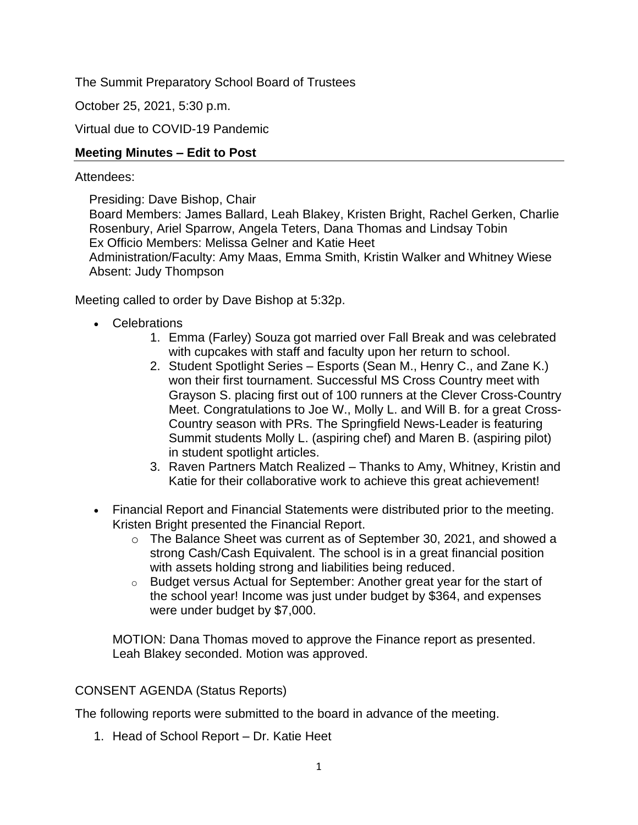The Summit Preparatory School Board of Trustees

October 25, 2021, 5:30 p.m.

Virtual due to COVID-19 Pandemic

## **Meeting Minutes – Edit to Post**

### Attendees:

Presiding: Dave Bishop, Chair

Board Members: James Ballard, Leah Blakey, Kristen Bright, Rachel Gerken, Charlie Rosenbury, Ariel Sparrow, Angela Teters, Dana Thomas and Lindsay Tobin Ex Officio Members: Melissa Gelner and Katie Heet Administration/Faculty: Amy Maas, Emma Smith, Kristin Walker and Whitney Wiese Absent: Judy Thompson

Meeting called to order by Dave Bishop at 5:32p.

- Celebrations
	- 1. Emma (Farley) Souza got married over Fall Break and was celebrated with cupcakes with staff and faculty upon her return to school.
	- 2. Student Spotlight Series Esports (Sean M., Henry C., and Zane K.) won their first tournament. Successful MS Cross Country meet with Grayson S. placing first out of 100 runners at the Clever Cross-Country Meet. Congratulations to Joe W., Molly L. and Will B. for a great Cross-Country season with PRs. The Springfield News-Leader is featuring Summit students Molly L. (aspiring chef) and Maren B. (aspiring pilot) in student spotlight articles.
	- 3. Raven Partners Match Realized Thanks to Amy, Whitney, Kristin and Katie for their collaborative work to achieve this great achievement!
- Financial Report and Financial Statements were distributed prior to the meeting. Kristen Bright presented the Financial Report.
	- o The Balance Sheet was current as of September 30, 2021, and showed a strong Cash/Cash Equivalent. The school is in a great financial position with assets holding strong and liabilities being reduced.
	- o Budget versus Actual for September: Another great year for the start of the school year! Income was just under budget by \$364, and expenses were under budget by \$7,000.

MOTION: Dana Thomas moved to approve the Finance report as presented. Leah Blakey seconded. Motion was approved.

#### CONSENT AGENDA (Status Reports)

The following reports were submitted to the board in advance of the meeting.

1. Head of School Report – Dr. Katie Heet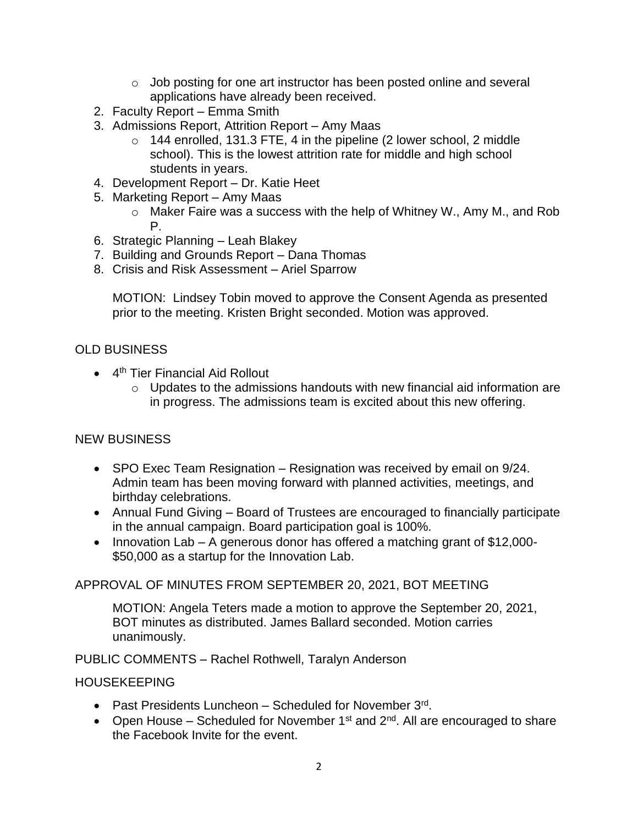- $\circ$  Job posting for one art instructor has been posted online and several applications have already been received.
- 2. Faculty Report Emma Smith
- 3. Admissions Report, Attrition Report Amy Maas
	- o 144 enrolled, 131.3 FTE, 4 in the pipeline (2 lower school, 2 middle school). This is the lowest attrition rate for middle and high school students in years.
- 4. Development Report Dr. Katie Heet
- 5. Marketing Report Amy Maas
	- o Maker Faire was a success with the help of Whitney W., Amy M., and Rob P.
- 6. Strategic Planning Leah Blakey
- 7. Building and Grounds Report Dana Thomas
- 8. Crisis and Risk Assessment Ariel Sparrow

MOTION: Lindsey Tobin moved to approve the Consent Agenda as presented prior to the meeting. Kristen Bright seconded. Motion was approved.

# OLD BUSINESS

- 4<sup>th</sup> Tier Financial Aid Rollout
	- $\circ$  Updates to the admissions handouts with new financial aid information are in progress. The admissions team is excited about this new offering.

#### NEW BUSINESS

- SPO Exec Team Resignation Resignation was received by email on 9/24. Admin team has been moving forward with planned activities, meetings, and birthday celebrations.
- Annual Fund Giving Board of Trustees are encouraged to financially participate in the annual campaign. Board participation goal is 100%.
- Innovation Lab A generous donor has offered a matching grant of \$12,000- \$50,000 as a startup for the Innovation Lab.

#### APPROVAL OF MINUTES FROM SEPTEMBER 20, 2021, BOT MEETING

MOTION: Angela Teters made a motion to approve the September 20, 2021, BOT minutes as distributed. James Ballard seconded. Motion carries unanimously.

#### PUBLIC COMMENTS – Rachel Rothwell, Taralyn Anderson

#### HOUSEKEEPING

- Past Presidents Luncheon Scheduled for November 3rd.
- Open House Scheduled for November  $1<sup>st</sup>$  and  $2<sup>nd</sup>$ . All are encouraged to share the Facebook Invite for the event.